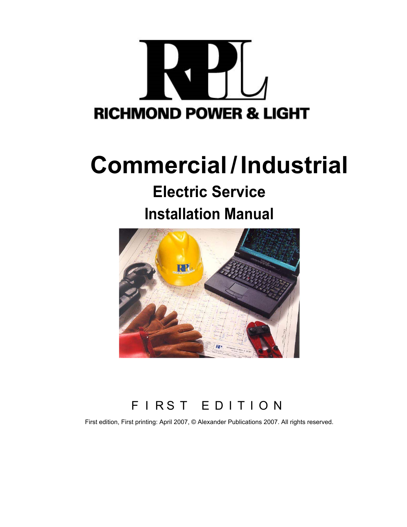

## **Commercial/ Industrial**

# **Electric Service**

### **Installation Manual**



### F I RS T E D I T I O N

First edition, First printing: April 2007, © Alexander Publications 2007. All rights reserved.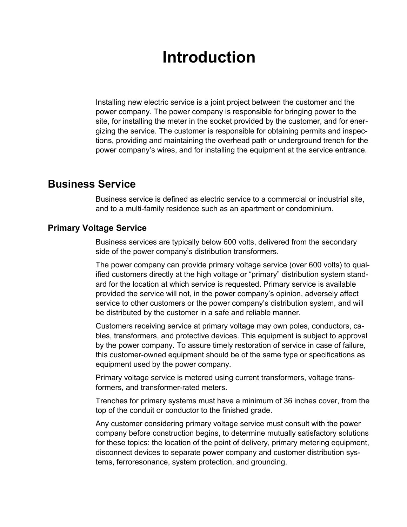### **Introduction**

Installing new electric service is a joint project between the customer and the power company. The power company is responsible for bringing power to the site, for installing the meter in the socket provided by the customer, and for energizing the service. The customer is responsible for obtaining permits and inspections, providing and maintaining the overhead path or underground trench for the power company's wires, and for installing the equipment at the service entrance.

### **Business Service**

Business service is defined as electric service to a commercial or industrial site, and to a multi-family residence such as an apartment or condominium.

#### **Primary Voltage Service**

Business services are typically below 600 volts, delivered from the secondary side of the power company's distribution transformers.

The power company can provide primary voltage service (over 600 volts) to qualified customers directly at the high voltage or "primary" distribution system standard for the location at which service is requested. Primary service is available provided the service will not, in the power company's opinion, adversely affect service to other customers or the power company's distribution system, and will be distributed by the customer in a safe and reliable manner.

Customers receiving service at primary voltage may own poles, conductors, cables, transformers, and protective devices. This equipment is subject to approval by the power company. To assure timely restoration of service in case of failure, this customer-owned equipment should be of the same type or specifications as equipment used by the power company.

Primary voltage service is metered using current transformers, voltage transformers, and transformer-rated meters.

Trenches for primary systems must have a minimum of 36 inches cover, from the top of the conduit or conductor to the finished grade.

Any customer considering primary voltage service must consult with the power company before construction begins, to determine mutually satisfactory solutions for these topics: the location of the point of delivery, primary metering equipment, disconnect devices to separate power company and customer distribution systems, ferroresonance, system protection, and grounding.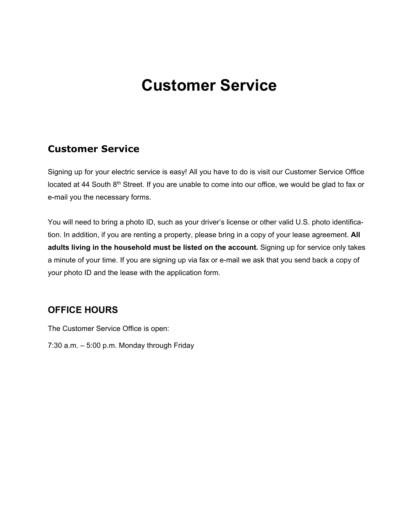### **Customer Service**

#### **Customer Service**

Signing up for your electric service is easy! All you have to do is visit our Customer Service Office located at 44 South 8<sup>th</sup> Street. If you are unable to come into our office, we would be glad to fax or e-mail you the necessary forms.

You will need to bring a photo ID, such as your driver's license or other valid U.S. photo identification. In addition, if you are renting a property, please bring in a copy of your lease agreement. **All adults living in the household must be listed on the account.** Signing up for service only takes a minute of your time. If you are signing up via fax or e-mail we ask that you send back a copy of your photo ID and the lease with the application form.

#### **OFFICE HOURS**

The Customer Service Office is open:

7:30 a.m. – 5:00 p.m. Monday through Friday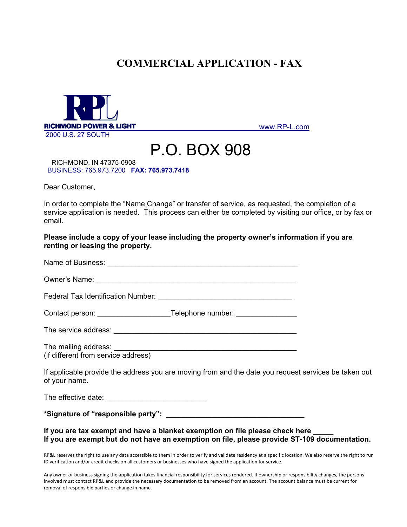### **COMMERCIAL APPLICATION - FAX**



[www.RP-L.com](http://www.rp-l.com/)

## **P.O. BOX 908**<br>RICHMOND, IN 47375-0908

BUSINESS: 765.973.7200 **FAX: 765.973.7418**

Dear Customer,

In order to complete the "Name Change" or transfer of service, as requested, the completion of a service application is needed. This process can either be completed by visiting our office, or by fax or email.

**Please include a copy of your lease including the property owner's information if you are renting or leasing the property.** 

| The service address: <u>_________________________________</u> |  |
|---------------------------------------------------------------|--|
| (if different from service address)                           |  |

If applicable provide the address you are moving from and the date you request services be taken out of your name.

The effective date:  $\blacksquare$ 

**\*Signature of "responsible party":** \_\_\_\_\_\_\_\_\_\_\_\_\_\_\_\_\_\_\_\_\_\_\_\_\_\_\_\_\_\_\_\_\_\_

#### **If you are tax exempt and have a blanket exemption on file please check here \_\_\_\_\_ If you are exempt but do not have an exemption on file, please provide ST-109 documentation.**

RP&L reserves the right to use any data accessible to them in order to verify and validate residency at a specific location. We also reserve the right to run ID verification and/or credit checks on all customers or businesses who have signed the application for service.

Any owner or business signing the application takes financial responsibility for services rendered. If ownership or responsibility changes, the persons involved must contact RP&L and provide the necessary documentation to be removed from an account. The account balance must be current for removal of responsible parties or change in name.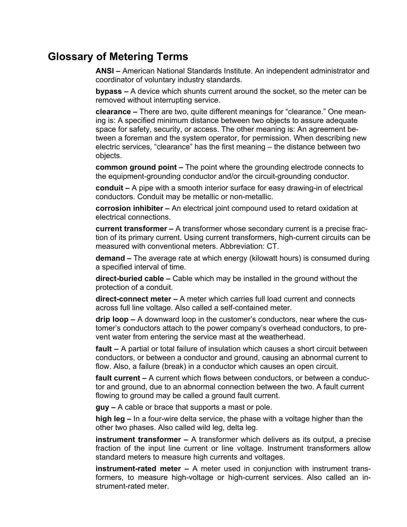### **Glossary of Metering Terms**

**ANSI –** American National Standards Institute. An independent administrator and coordinator of voluntary industry standards.

**bypass –** A device which shunts current around the socket, so the meter can be removed without interrupting service.

**clearance –** There are two, quite different meanings for "clearance." One meaning is: A specified minimum distance between two objects to assure adequate space for safety, security, or access. The other meaning is: An agreement between a foreman and the system operator, for permission. When describing new electric services, "clearance" has the first meaning – the distance between two objects.

**common ground point –** The point where the grounding electrode connects to the equipment-grounding conductor and/or the circuit-grounding conductor.

**conduit –** A pipe with a smooth interior surface for easy drawing-in of electrical conductors. Conduit may be metallic or non-metallic.

**corrosion inhibiter –** An electrical joint compound used to retard oxidation at electrical connections.

**current transformer –** A transformer whose secondary current is a precise fraction of its primary current. Using current transformers, high-current circuits can be measured with conventional meters. Abbreviation: CT.

**demand –** The average rate at which energy (kilowatt hours) is consumed during a specified interval of time.

**direct-buried cable –** Cable which may be installed in the ground without the protection of a conduit.

**direct-connect meter –** A meter which carries full load current and connects across full line voltage. Also called a self-contained meter.

**drip loop –** A downward loop in the customer's conductors, near where the customer's conductors attach to the power company's overhead conductors, to prevent water from entering the service mast at the weatherhead.

**fault –** A partial or total failure of insulation which causes a short circuit between conductors, or between a conductor and ground, causing an abnormal current to flow. Also, a failure (break) in a conductor which causes an open circuit.

**fault current –** A current which flows between conductors, or between a conductor and ground, due to an abnormal connection between the two. A fault current flowing to ground may be called a ground fault current.

**guy –** A cable or brace that supports a mast or pole.

**high leg –** In a four-wire delta service, the phase with a voltage higher than the other two phases. Also called wild leg, delta leg.

**instrument transformer –** A transformer which delivers as its output, a precise fraction of the input line current or line voltage. Instrument transformers allow standard meters to measure high currents and voltages.

**instrument-rated meter –** A meter used in conjunction with instrument transformers, to measure high-voltage or high-current services. Also called an instrument-rated meter.